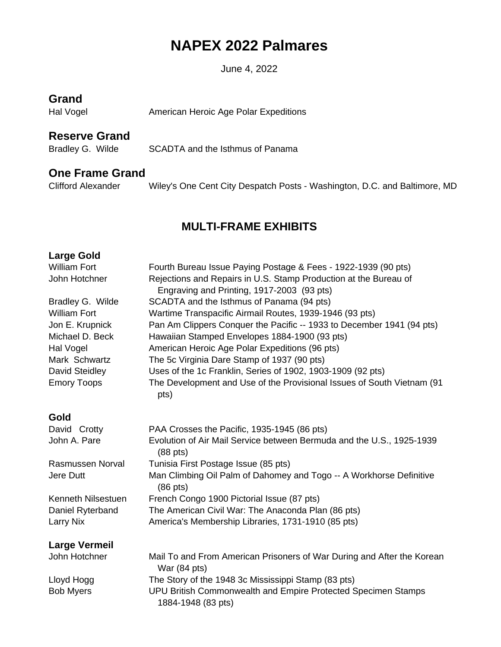# **NAPEX 2022 Palmares**

June 4, 2022

### **Grand**

Hal Vogel **American Heroic Age Polar Expeditions** 

### **Reserve Grand**

Bradley G. Wilde SCADTA and the Isthmus of Panama

#### **One Frame Grand**

Clifford Alexander Wiley's One Cent City Despatch Posts - Washington, D.C. and Baltimore, MD

# **MULTI-FRAME EXHIBITS**

#### **Large Gold**

| <b>William Fort</b>  | Fourth Bureau Issue Paying Postage & Fees - 1922-1939 (90 pts)                         |
|----------------------|----------------------------------------------------------------------------------------|
| John Hotchner        | Rejections and Repairs in U.S. Stamp Production at the Bureau of                       |
|                      | Engraving and Printing, 1917-2003 (93 pts)                                             |
| Bradley G. Wilde     | SCADTA and the Isthmus of Panama (94 pts)                                              |
| <b>William Fort</b>  | Wartime Transpacific Airmail Routes, 1939-1946 (93 pts)                                |
| Jon E. Krupnick      | Pan Am Clippers Conquer the Pacific -- 1933 to December 1941 (94 pts)                  |
| Michael D. Beck      | Hawaiian Stamped Envelopes 1884-1900 (93 pts)                                          |
| Hal Vogel            | American Heroic Age Polar Expeditions (96 pts)                                         |
| Mark Schwartz        | The 5c Virginia Dare Stamp of 1937 (90 pts)                                            |
| David Steidley       | Uses of the 1c Franklin, Series of 1902, 1903-1909 (92 pts)                            |
| <b>Emory Toops</b>   | The Development and Use of the Provisional Issues of South Vietnam (91<br>pts)         |
| Gold                 |                                                                                        |
| David Crotty         | PAA Crosses the Pacific, 1935-1945 (86 pts)                                            |
| John A. Pare         | Evolution of Air Mail Service between Bermuda and the U.S., 1925-1939<br>$(88$ pts)    |
| Rasmussen Norval     | Tunisia First Postage Issue (85 pts)                                                   |
| Jere Dutt            | Man Climbing Oil Palm of Dahomey and Togo -- A Workhorse Definitive<br>$(86$ pts)      |
| Kenneth Nilsestuen   | French Congo 1900 Pictorial Issue (87 pts)                                             |
| Daniel Ryterband     | The American Civil War: The Anaconda Plan (86 pts)                                     |
| <b>Larry Nix</b>     | America's Membership Libraries, 1731-1910 (85 pts)                                     |
| <b>Large Vermeil</b> |                                                                                        |
| John Hotchner        | Mail To and From American Prisoners of War During and After the Korean<br>War (84 pts) |
| Lloyd Hogg           | The Story of the 1948 3c Mississippi Stamp (83 pts)                                    |
| <b>Bob Myers</b>     | UPU British Commonwealth and Empire Protected Specimen Stamps<br>1884-1948 (83 pts)    |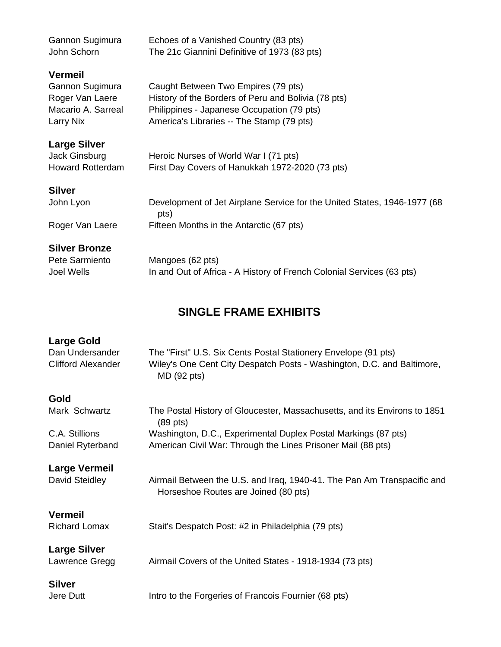| Gannon Sugimura         | Echoes of a Vanished Country (83 pts)                                            |
|-------------------------|----------------------------------------------------------------------------------|
| John Schorn             | The 21c Giannini Definitive of 1973 (83 pts)                                     |
| <b>Vermeil</b>          |                                                                                  |
| Gannon Sugimura         | Caught Between Two Empires (79 pts)                                              |
| Roger Van Laere         | History of the Borders of Peru and Bolivia (78 pts)                              |
| Macario A. Sarreal      | Philippines - Japanese Occupation (79 pts)                                       |
| Larry Nix               | America's Libraries -- The Stamp (79 pts)                                        |
| <b>Large Silver</b>     |                                                                                  |
| Jack Ginsburg           | Heroic Nurses of World War I (71 pts)                                            |
| <b>Howard Rotterdam</b> | First Day Covers of Hanukkah 1972-2020 (73 pts)                                  |
| <b>Silver</b>           |                                                                                  |
| John Lyon               | Development of Jet Airplane Service for the United States, 1946-1977 (68<br>pts) |
| Roger Van Laere         | Fifteen Months in the Antarctic (67 pts)                                         |
| <b>Silver Bronze</b>    |                                                                                  |
| Pete Sarmiento          | Mangoes (62 pts)                                                                 |
| Joel Wells              | In and Out of Africa - A History of French Colonial Services (63 pts)            |

## **SINGLE FRAME EXHIBITS**

#### **Large Gold**

| Dan Undersander    | The "First" U.S. Six Cents Postal Stationery Envelope (91 pts)         |
|--------------------|------------------------------------------------------------------------|
| Clifford Alexander | Wiley's One Cent City Despatch Posts - Washington, D.C. and Baltimore, |
|                    | MD (92 pts)                                                            |

#### **Gold**

| Mark Schwartz    | The Postal History of Gloucester, Massachusetts, and its Environs to 1851 |
|------------------|---------------------------------------------------------------------------|
|                  | $(89$ pts)                                                                |
| C.A. Stillions   | Washington, D.C., Experimental Duplex Postal Markings (87 pts)            |
| Daniel Ryterband | American Civil War: Through the Lines Prisoner Mail (88 pts)              |

#### **Large Vermeil**

David Steidley **Airmail Between the U.S. and Iraq, 1940-41.** The Pan Am Transpacific and

**Vermeil**

Richard Lomax Stait's Despatch Post: #2 in Philadelphia (79 pts)

**Large Silver**

Lawrence Gregg Airmail Covers of the United States - 1918-1934 (73 pts)

# **Silver**

Jere Dutt Intro to the Forgeries of Francois Fournier (68 pts)

Horseshoe Routes are Joined (80 pts)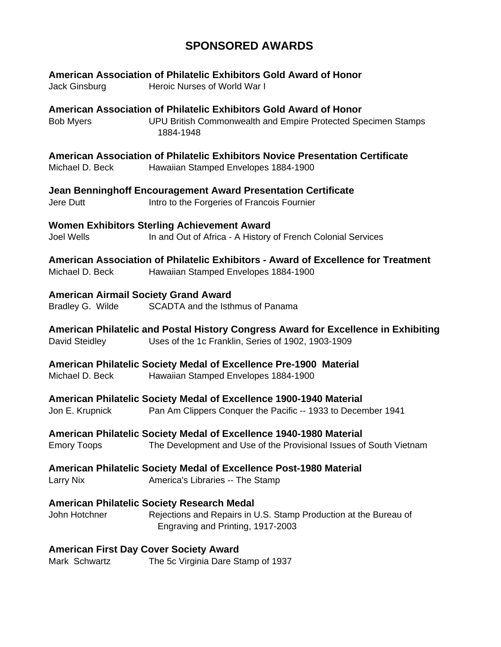# **SPONSORED AWARDS**

| Jack Ginsburg                                                                                                                     | American Association of Philatelic Exhibitors Gold Award of Honor<br>Heroic Nurses of World War I                                                          |  |
|-----------------------------------------------------------------------------------------------------------------------------------|------------------------------------------------------------------------------------------------------------------------------------------------------------|--|
| <b>Bob Myers</b>                                                                                                                  | American Association of Philatelic Exhibitors Gold Award of Honor<br>UPU British Commonwealth and Empire Protected Specimen Stamps<br>1884-1948            |  |
| Michael D. Beck                                                                                                                   | American Association of Philatelic Exhibitors Novice Presentation Certificate<br>Hawaiian Stamped Envelopes 1884-1900                                      |  |
| Jere Dutt                                                                                                                         | Jean Benninghoff Encouragement Award Presentation Certificate<br>Intro to the Forgeries of Francois Fournier                                               |  |
| <b>Joel Wells</b>                                                                                                                 | <b>Women Exhibitors Sterling Achievement Award</b><br>In and Out of Africa - A History of French Colonial Services                                         |  |
| Michael D. Beck                                                                                                                   | American Association of Philatelic Exhibitors - Award of Excellence for Treatment<br>Hawaiian Stamped Envelopes 1884-1900                                  |  |
| <b>American Airmail Society Grand Award</b><br>Bradley G. Wilde                                                                   | SCADTA and the Isthmus of Panama                                                                                                                           |  |
| David Steidley                                                                                                                    | American Philatelic and Postal History Congress Award for Excellence in Exhibiting<br>Uses of the 1c Franklin, Series of 1902, 1903-1909                   |  |
| Michael D. Beck                                                                                                                   | American Philatelic Society Medal of Excellence Pre-1900 Material<br>Hawaiian Stamped Envelopes 1884-1900                                                  |  |
| Jon E. Krupnick                                                                                                                   | American Philatelic Society Medal of Excellence 1900-1940 Material<br>Pan Am Clippers Conquer the Pacific -- 1933 to December 1941                         |  |
| <b>Emory Toops</b>                                                                                                                | American Philatelic Society Medal of Excellence 1940-1980 Material<br>The Development and Use of the Provisional Issues of South Vietnam                   |  |
| <b>American Philatelic Society Medal of Excellence Post-1980 Material</b><br><b>Larry Nix</b><br>America's Libraries -- The Stamp |                                                                                                                                                            |  |
| John Hotchner                                                                                                                     | <b>American Philatelic Society Research Medal</b><br>Rejections and Repairs in U.S. Stamp Production at the Bureau of<br>Engraving and Printing, 1917-2003 |  |
| <b>American First Day Cover Society Award</b><br>Mark Schwartz                                                                    | The 5c Virginia Dare Stamp of 1937                                                                                                                         |  |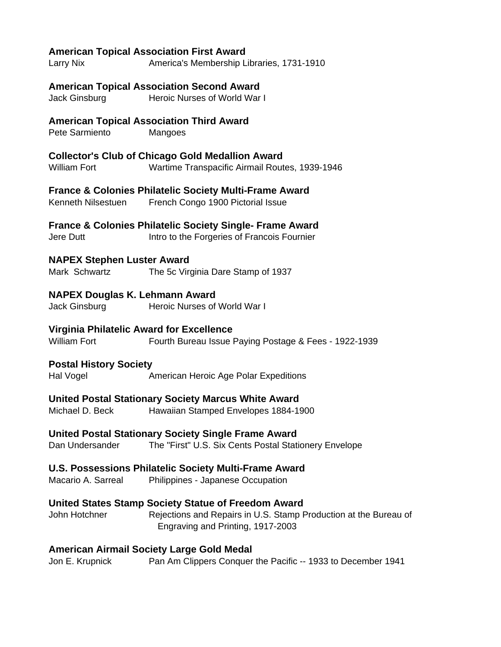#### **American Topical Association First Award**

Larry Nix America's Membership Libraries, 1731-1910

#### **American Topical Association Second Award**

Jack Ginsburg Heroic Nurses of World War I

#### **American Topical Association Third Award**

Pete Sarmiento Mangoes

#### **Collector's Club of Chicago Gold Medallion Award**

William Fort Wartime Transpacific Airmail Routes, 1939-1946

#### **France & Colonies Philatelic Society Multi-Frame Award**

Kenneth Nilsestuen French Congo 1900 Pictorial Issue

**France & Colonies Philatelic Society Single- Frame Award**

Jere Dutt Intro to the Forgeries of Francois Fournier

#### **NAPEX Stephen Luster Award**

Mark Schwartz The 5c Virginia Dare Stamp of 1937

#### **NAPEX Douglas K. Lehmann Award**

Jack Ginsburg Heroic Nurses of World War I

#### **Virginia Philatelic Award for Excellence**

William Fort **Fourth Bureau Issue Paying Postage & Fees - 1922-1939** 

#### **Postal History Society**

Hal Vogel **American Heroic Age Polar Expeditions** 

#### **United Postal Stationary Society Marcus White Award**

Michael D. Beck Hawaiian Stamped Envelopes 1884-1900

#### **United Postal Stationary Society Single Frame Award**

Dan Undersander The "First" U.S. Six Cents Postal Stationery Envelope

#### **U.S. Possessions Philatelic Society Multi-Frame Award**

Macario A. Sarreal Philippines - Japanese Occupation

#### **United States Stamp Society Statue of Freedom Award**

John Hotchner Rejections and Repairs in U.S. Stamp Production at the Bureau of Engraving and Printing, 1917-2003

#### **American Airmail Society Large Gold Medal**

Jon E. Krupnick Pan Am Clippers Conquer the Pacific -- 1933 to December 1941